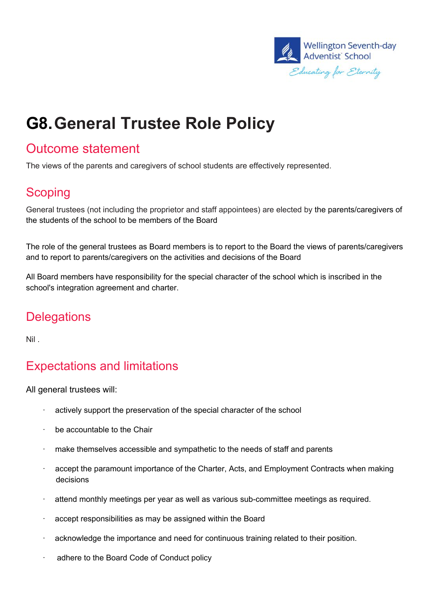

# **G8.General Trustee Role Policy**

#### Outcome statement

The views of the parents and caregivers of school students are effectively represented.

## **Scoping**

General trustees (not including the proprietor and staff appointees) are elected by the parents/caregivers of the students of the school to be members of the Board

The role of the general trustees as Board members is to report to the Board the views of parents/caregivers and to report to parents/caregivers on the activities and decisions of the Board

All Board members have responsibility for the special character of the school which is inscribed in the school's integration agreement and charter.

## **Delegations**

Nil .

# Expectations and limitations

All general trustees will:

- · actively support the preservation of the special character of the school
- be accountable to the Chair
- · make themselves accessible and sympathetic to the needs of staff and parents
- · accept the paramount importance of the Charter, Acts, and Employment Contracts when making decisions
- · attend monthly meetings per year as well as various sub-committee meetings as required.
- accept responsibilities as may be assigned within the Board
- · acknowledge the importance and need for continuous training related to their position.
- · adhere to the Board Code of Conduct policy